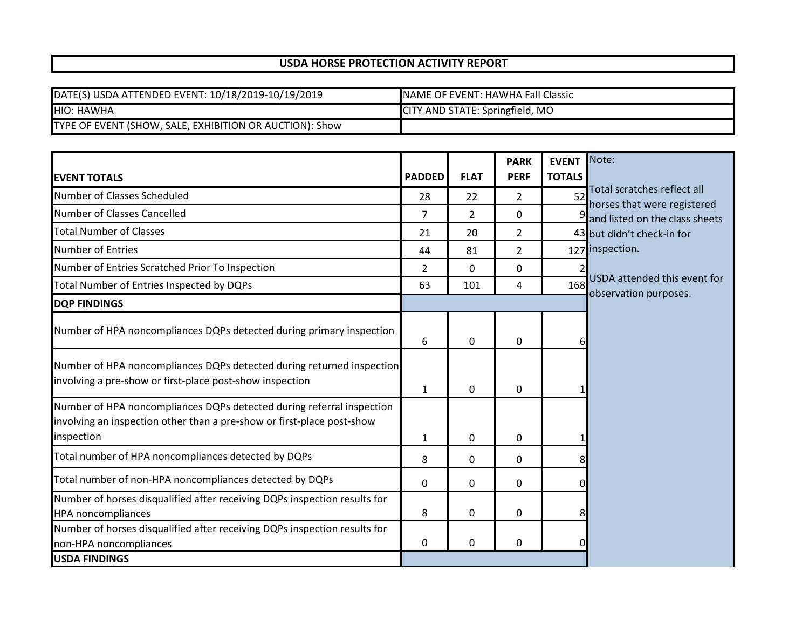## **USDA HORSE PROTECTION ACTIVITY REPORT**

| DATE(S) USDA ATTENDED EVENT: 10/18/2019-10/19/2019      | INAME OF EVENT: HAWHA Fall Classic |
|---------------------------------------------------------|------------------------------------|
| <b>HIO: HAWHA</b>                                       | CITY AND STATE: Springfield, MO    |
| TYPE OF EVENT (SHOW, SALE, EXHIBITION OR AUCTION): Show |                                    |

|                                                                                                                                                               |               |              | <b>PARK</b>    | <b>EVENT</b>  | Note:                                                      |
|---------------------------------------------------------------------------------------------------------------------------------------------------------------|---------------|--------------|----------------|---------------|------------------------------------------------------------|
| <b>EVENT TOTALS</b>                                                                                                                                           | <b>PADDED</b> | <b>FLAT</b>  | <b>PERF</b>    | <b>TOTALS</b> |                                                            |
| Number of Classes Scheduled                                                                                                                                   | 28            | 22           | $\overline{2}$ | 52            | Total scratches reflect all<br>horses that were registered |
| Number of Classes Cancelled                                                                                                                                   | 7             | 2            | 0              |               | $\frac{9}{2}$ and listed on the class sheets               |
| <b>Total Number of Classes</b>                                                                                                                                | 21            | 20           | $\overline{2}$ |               | 43 but didn't check-in for                                 |
| <b>Number of Entries</b>                                                                                                                                      | 44            | 81           | 2              |               | 127 inspection.                                            |
| Number of Entries Scratched Prior To Inspection                                                                                                               | 2             | $\Omega$     | 0              |               |                                                            |
| Total Number of Entries Inspected by DQPs                                                                                                                     | 63            | 101          | 4              | 168           | USDA attended this event for<br>observation purposes.      |
| <b>DQP FINDINGS</b>                                                                                                                                           |               |              |                |               |                                                            |
| Number of HPA noncompliances DQPs detected during primary inspection                                                                                          | 6             | 0            | 0              | 6             |                                                            |
| Number of HPA noncompliances DQPs detected during returned inspection<br>involving a pre-show or first-place post-show inspection                             | $\mathbf{1}$  | 0            | 0              |               |                                                            |
| Number of HPA noncompliances DQPs detected during referral inspection<br>involving an inspection other than a pre-show or first-place post-show<br>inspection | 1             | $\mathbf{0}$ | 0              |               |                                                            |
| Total number of HPA noncompliances detected by DQPs                                                                                                           | 8             | 0            | 0              | 8             |                                                            |
| Total number of non-HPA noncompliances detected by DQPs                                                                                                       | 0             | $\mathbf 0$  | 0              | 0             |                                                            |
| Number of horses disqualified after receiving DQPs inspection results for<br><b>HPA</b> noncompliances                                                        | 8             | 0            | 0              | 8             |                                                            |
| Number of horses disqualified after receiving DQPs inspection results for<br>non-HPA noncompliances                                                           | 0             | $\mathbf{0}$ | 0              | $\Omega$      |                                                            |
| <b>USDA FINDINGS</b>                                                                                                                                          |               |              |                |               |                                                            |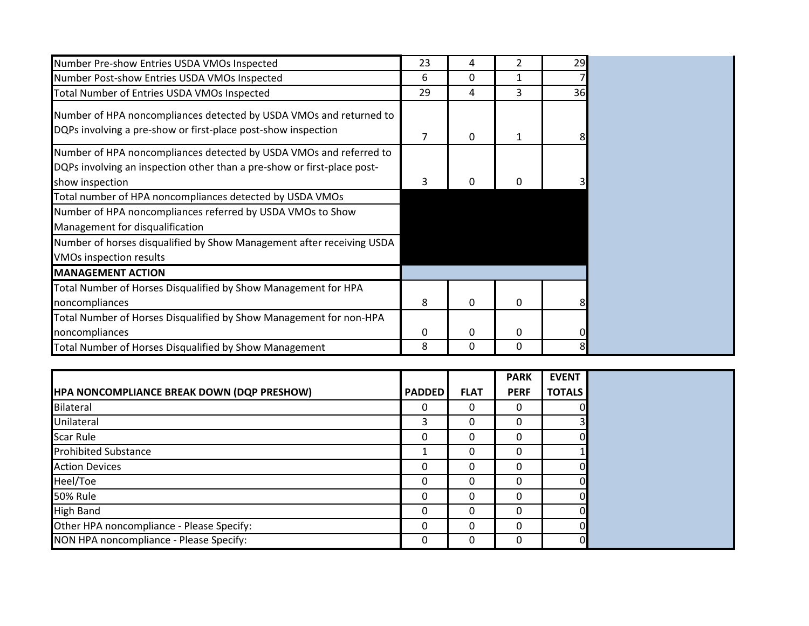| Number Pre-show Entries USDA VMOs Inspected                                                                                                            | 23 | 4 | 2            | 29 |
|--------------------------------------------------------------------------------------------------------------------------------------------------------|----|---|--------------|----|
| Number Post-show Entries USDA VMOs Inspected                                                                                                           | 6  | 0 |              |    |
| Total Number of Entries USDA VMOs Inspected                                                                                                            | 29 | 4 | 3            | 36 |
| Number of HPA noncompliances detected by USDA VMOs and returned to<br>DQPs involving a pre-show or first-place post-show inspection                    | 7  | 0 | $\mathbf{1}$ |    |
| Number of HPA noncompliances detected by USDA VMOs and referred to                                                                                     |    |   |              |    |
| DQPs involving an inspection other than a pre-show or first-place post-<br>show inspection<br>Total number of HPA noncompliances detected by USDA VMOs |    | 0 | 0            |    |
| Number of HPA noncompliances referred by USDA VMOs to Show<br>Management for disqualification                                                          |    |   |              |    |
| Number of horses disqualified by Show Management after receiving USDA<br><b>VMOs inspection results</b>                                                |    |   |              |    |
| <b>MANAGEMENT ACTION</b>                                                                                                                               |    |   |              |    |
| Total Number of Horses Disqualified by Show Management for HPA<br>noncompliances                                                                       | 8  | 0 | 0            |    |
| Total Number of Horses Disqualified by Show Management for non-HPA<br>noncompliances                                                                   | 0  | 0 | 0            |    |
| Total Number of Horses Disqualified by Show Management                                                                                                 | 8  | 0 | 0            | 81 |

|                                            |               |             | <b>PARK</b> | <b>EVENT</b>  |
|--------------------------------------------|---------------|-------------|-------------|---------------|
| HPA NONCOMPLIANCE BREAK DOWN (DQP PRESHOW) | <b>PADDED</b> | <b>FLAT</b> | <b>PERF</b> | <b>TOTALS</b> |
| Bilateral                                  |               |             | O           | OI            |
| Unilateral                                 |               | ი           | O           |               |
| <b>Scar Rule</b>                           |               |             | 0           | ΩI            |
| <b>Prohibited Substance</b>                |               |             |             |               |
| <b>Action Devices</b>                      |               |             | 0           | ΩI            |
| Heel/Toe                                   |               | 0           | 0           | ΩI            |
| <b>50% Rule</b>                            |               | 0           | ი           | ΩI            |
| <b>High Band</b>                           |               |             | O           | ΩI            |
| Other HPA noncompliance - Please Specify:  |               |             |             |               |
| NON HPA noncompliance - Please Specify:    |               | 0           | O           | ΟI            |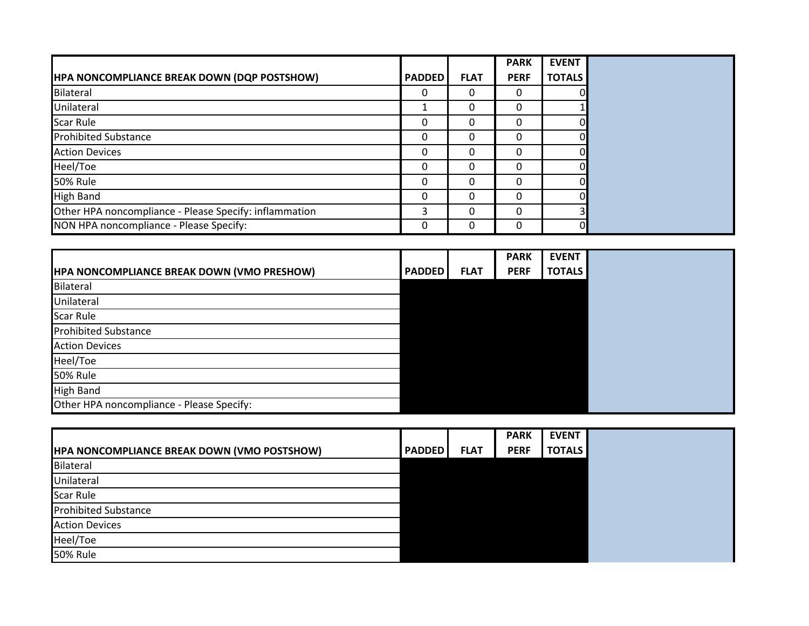|                                                        |               |             | <b>PARK</b> | <b>EVENT</b>  |
|--------------------------------------------------------|---------------|-------------|-------------|---------------|
| <b>HPA NONCOMPLIANCE BREAK DOWN (DQP POSTSHOW)</b>     | <b>PADDED</b> | <b>FLAT</b> | <b>PERF</b> | <b>TOTALS</b> |
| Bilateral                                              |               | 0           | 0           | OI            |
| Unilateral                                             |               | 0           | 0           |               |
| <b>Scar Rule</b>                                       |               | 0           | 0           | ΩI            |
| <b>Prohibited Substance</b>                            |               | Ο           | 0           | ΩI            |
| <b>Action Devices</b>                                  |               | Ο           | 0           | ΩI            |
| Heel/Toe                                               |               | 0           | 0           | ΩI            |
| <b>50% Rule</b>                                        |               | 0           | 0           | ΩI            |
| <b>High Band</b>                                       |               | 0           | 0           | ΩI            |
| Other HPA noncompliance - Please Specify: inflammation |               | 0           | 0           |               |
| NON HPA noncompliance - Please Specify:                |               | 0           | 0           | 01            |

|                                                   |               |             | <b>PARK</b> | <b>EVENT</b>  |
|---------------------------------------------------|---------------|-------------|-------------|---------------|
| <b>HPA NONCOMPLIANCE BREAK DOWN (VMO PRESHOW)</b> | <b>PADDED</b> | <b>FLAT</b> | <b>PERF</b> | <b>TOTALS</b> |
| Bilateral                                         |               |             |             |               |
| Unilateral                                        |               |             |             |               |
| <b>Scar Rule</b>                                  |               |             |             |               |
| <b>Prohibited Substance</b>                       |               |             |             |               |
| <b>Action Devices</b>                             |               |             |             |               |
| Heel/Toe                                          |               |             |             |               |
| <b>50% Rule</b>                                   |               |             |             |               |
| <b>High Band</b>                                  |               |             |             |               |
| Other HPA noncompliance - Please Specify:         |               |             |             |               |

|                                                    |               |             | <b>PARK</b> | <b>EVENT</b>  |
|----------------------------------------------------|---------------|-------------|-------------|---------------|
| <b>HPA NONCOMPLIANCE BREAK DOWN (VMO POSTSHOW)</b> | <b>PADDED</b> | <b>FLAT</b> | <b>PERF</b> | <b>TOTALS</b> |
| Bilateral                                          |               |             |             |               |
| Unilateral                                         |               |             |             |               |
| <b>Scar Rule</b>                                   |               |             |             |               |
| <b>Prohibited Substance</b>                        |               |             |             |               |
| <b>Action Devices</b>                              |               |             |             |               |
| Heel/Toe                                           |               |             |             |               |
| <b>50% Rule</b>                                    |               |             |             |               |